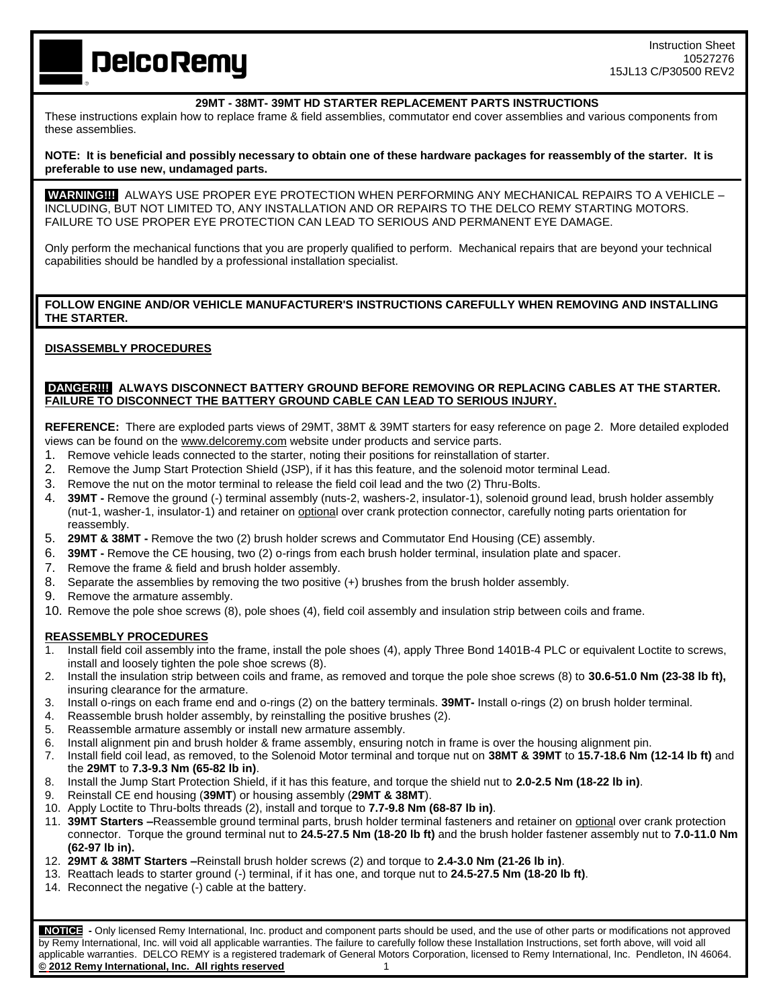**DelcoRemy** 

#### **29MT - 38MT- 39MT HD STARTER REPLACEMENT PARTS INSTRUCTIONS**

These instructions explain how to replace frame & field assemblies, commutator end cover assemblies and various components from these assemblies.

### **NOTE: It is beneficial and possibly necessary to obtain one of these hardware packages for reassembly of the starter. It is preferable to use new, undamaged parts.**

**WARNING!!!** ALWAYS USE PROPER EYE PROTECTION WHEN PERFORMING ANY MECHANICAL REPAIRS TO A VEHICLE – INCLUDING, BUT NOT LIMITED TO, ANY INSTALLATION AND OR REPAIRS TO THE DELCO REMY STARTING MOTORS. FAILURE TO USE PROPER EYE PROTECTION CAN LEAD TO SERIOUS AND PERMANENT EYE DAMAGE.

Only perform the mechanical functions that you are properly qualified to perform. Mechanical repairs that are beyond your technical capabilities should be handled by a professional installation specialist.

## **FOLLOW ENGINE AND/OR VEHICLE MANUFACTURER'S INSTRUCTIONS CAREFULLY WHEN REMOVING AND INSTALLING THE STARTER.**

## **DISASSEMBLY PROCEDURES**

### **DANGER!!! ALWAYS DISCONNECT BATTERY GROUND BEFORE REMOVING OR REPLACING CABLES AT THE STARTER. FAILURE TO DISCONNECT THE BATTERY GROUND CABLE CAN LEAD TO SERIOUS INJURY.**

**REFERENCE:** There are exploded parts views of 29MT, 38MT & 39MT starters for easy reference on page 2. More detailed exploded views can be found on the www.delcoremy.com website under products and service parts.

- 1. Remove vehicle leads connected to the starter, noting their positions for reinstallation of starter.
- 2. Remove the Jump Start Protection Shield (JSP), if it has this feature, and the solenoid motor terminal Lead.
- 3. Remove the nut on the motor terminal to release the field coil lead and the two (2) Thru-Bolts.
- 4. **39MT -** Remove the ground (-) terminal assembly (nuts-2, washers-2, insulator-1), solenoid ground lead, brush holder assembly (nut-1, washer-1, insulator-1) and retainer on optional over crank protection connector, carefully noting parts orientation for reassembly.
- 5. **29MT & 38MT -** Remove the two (2) brush holder screws and Commutator End Housing (CE) assembly.
- 6. **39MT -** Remove the CE housing, two (2) o-rings from each brush holder terminal, insulation plate and spacer.
- 7. Remove the frame & field and brush holder assembly.
- 8. Separate the assemblies by removing the two positive (+) brushes from the brush holder assembly.
- 9. Remove the armature assembly.
- 10. Remove the pole shoe screws (8), pole shoes (4), field coil assembly and insulation strip between coils and frame.

### **REASSEMBLY PROCEDURES**

- 1. Install field coil assembly into the frame, install the pole shoes (4), apply Three Bond 1401B-4 PLC or equivalent Loctite to screws, install and loosely tighten the pole shoe screws (8).
- 2. Install the insulation strip between coils and frame, as removed and torque the pole shoe screws (8) to **30.6-51.0 Nm (23-38 lb ft),**  insuring clearance for the armature.
- 3. Install o-rings on each frame end and o-rings (2) on the battery terminals. **39MT-** Install o-rings (2) on brush holder terminal.
- 4. Reassemble brush holder assembly, by reinstalling the positive brushes (2).
- 5. Reassemble armature assembly or install new armature assembly.
- 6. Install alignment pin and brush holder & frame assembly, ensuring notch in frame is over the housing alignment pin.
- 7. Install field coil lead, as removed, to the Solenoid Motor terminal and torque nut on **38MT & 39MT** to **15.7-18.6 Nm (12-14 lb ft)** and the **29MT** to **7.3-9.3 Nm (65-82 lb in)**.
- 8. Install the Jump Start Protection Shield, if it has this feature, and torque the shield nut to **2.0-2.5 Nm (18-22 lb in)**.
- 9. Reinstall CE end housing (**39MT**) or housing assembly (**29MT & 38MT**).
- 10. Apply Loctite to Thru-bolts threads (2), install and torque to **7.7-9.8 Nm (68-87 lb in)**.
- 11. **39MT Starters –**Reassemble ground terminal parts, brush holder terminal fasteners and retainer on optional over crank protection connector. Torque the ground terminal nut to **24.5-27.5 Nm (18-20 lb ft)** and the brush holder fastener assembly nut to **7.0-11.0 Nm (62-97 lb in).**
- 12. **29MT & 38MT Starters –**Reinstall brush holder screws (2) and torque to **2.4-3.0 Nm (21-26 lb in)**.
- 13. Reattach leads to starter ground (-) terminal, if it has one, and torque nut to **24.5-27.5 Nm (18-20 lb ft)**.
- 14. Reconnect the negative (-) cable at the battery.

 **NOTICE -** Only licensed Remy International, Inc. product and component parts should be used, and the use of other parts or modifications not approved by Remy International, Inc. will void all applicable warranties. The failure to carefully follow these Installation Instructions, set forth above, will void all applicable warranties. DELCO REMY is a registered trademark of General Motors Corporation, licensed to Remy International, Inc. Pendleton, IN 46064. **© 2012 Remy International, Inc. All rights reserved** 1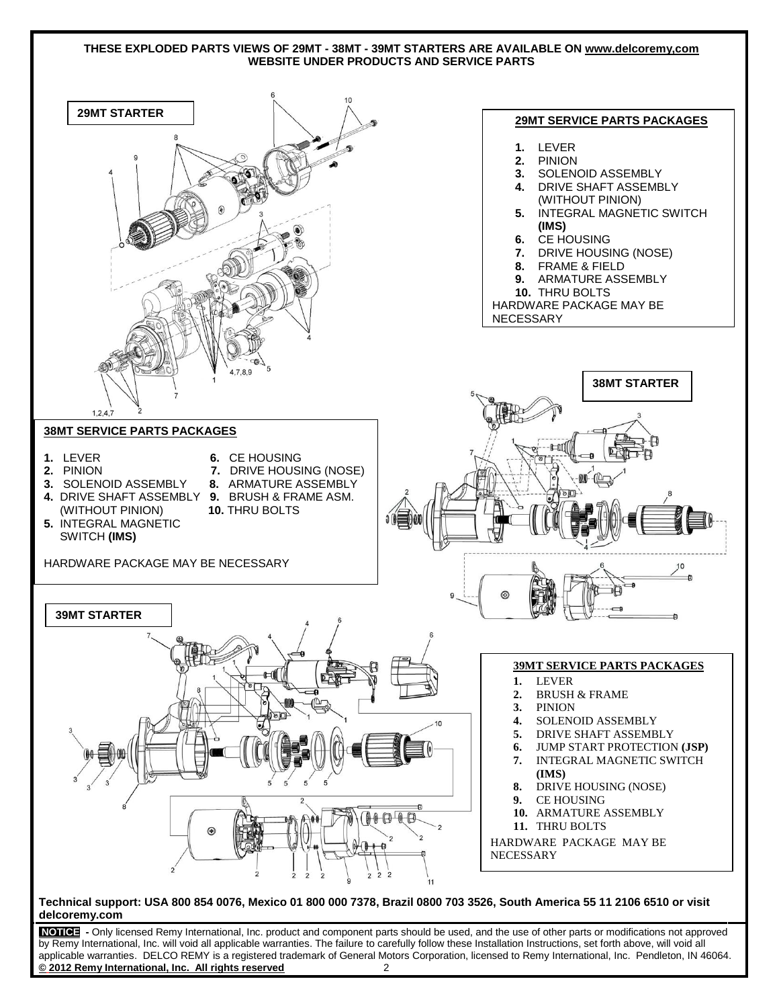### **THESE EXPLODED PARTS VIEWS OF 29MT - 38MT - 39MT STARTERS ARE AVAILABLE ON www.delcoremy,com WEBSITE UNDER PRODUCTS AND SERVICE PARTS**



**Technical support: USA 800 854 0076, Mexico 01 800 000 7378, Brazil 0800 703 3526, South America 55 11 2106 6510 or visit**  1. **delcoremy.com**

**NOTICE -** Only licensed Remy International, Inc. product and component parts should be used, and the use of other parts or modifications not approved by Remy International, Inc. will void all applicable warranties. The failure to carefully follow these Installation Instructions, set forth above, will void all applicable warranties. DELCO REMY is a registered trademark of General Motors Corporation, licensed to Remy International, Inc. Pendleton, IN 46064. **© 2012 Remy International, Inc. All rights reserved** 2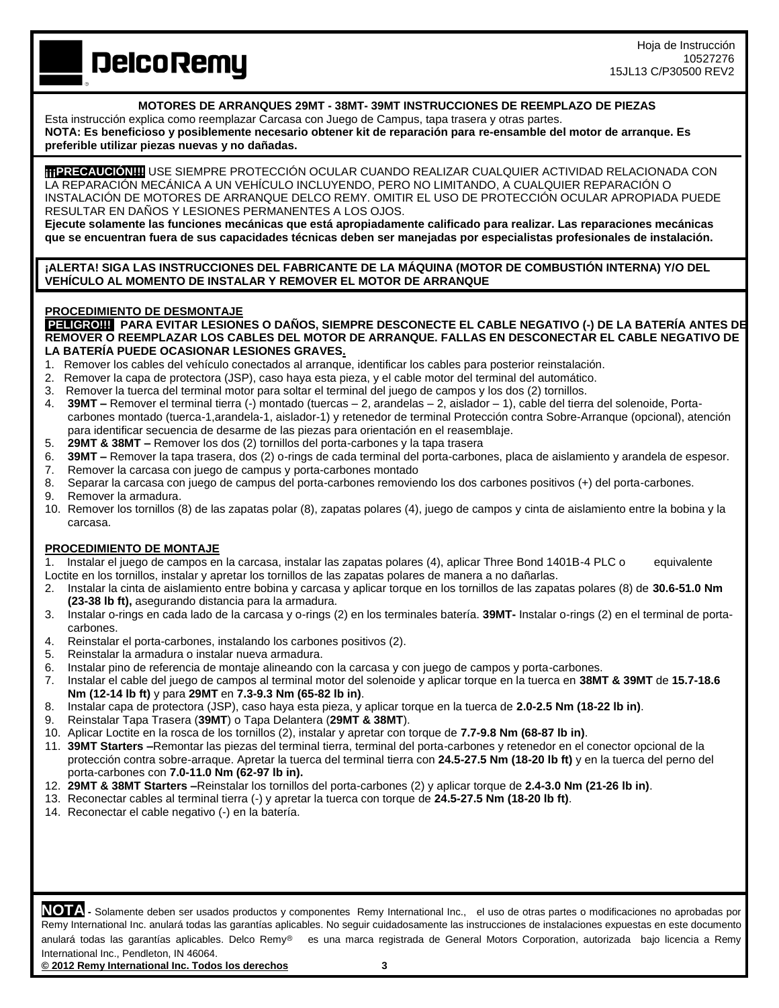Hoja de Instrucción 10527276 15JL13 C/P30500 REV2

**DelcoRemy** 

## **MOTORES DE ARRANQUES 29MT - 38MT- 39MT INSTRUCCIONES DE REEMPLAZO DE PIEZAS**

Esta instrucción explica como reemplazar Carcasa con Juego de Campus, tapa trasera y otras partes.

**NOTA: Es beneficioso y posiblemente necesario obtener kit de reparación para re-ensamble del motor de arranque. Es preferible utilizar piezas nuevas y no dañadas.** 

**¡¡¡PRECAUCIÓN!!!!**USE SIEMPRE PROTECCIÓN OCULAR CUANDO REALIZAR CUALQUIER ACTIVIDAD RELACIONADA CON LA REPARACIÓN MECÁNICA A UN VEHÍCULO INCLUYENDO, PERO NO LIMITANDO, A CUALQUIER REPARACIÓN O INSTALACIÓN DE MOTORES DE ARRANQUE DELCO REMY. OMITIR EL USO DE PROTECCIÓN OCULAR APROPIADA PUEDE RESULTAR EN DAÑOS Y LESIONES PERMANENTES A LOS OJOS.

**Ejecute solamente las funciones mecánicas que está apropiadamente calificado para realizar. Las reparaciones mecánicas que se encuentran fuera de sus capacidades técnicas deben ser manejadas por especialistas profesionales de instalación.**

**¡ALERTA! SIGA LAS INSTRUCCIONES DEL FABRICANTE DE LA MÁQUINA (MOTOR DE COMBUSTIÓN INTERNA) Y/O DEL VEHÍCULO AL MOMENTO DE INSTALAR Y REMOVER EL MOTOR DE ARRANQUE**

## **PROCEDIMIENTO DE DESMONTAJE**

**PELIGRO!!! PARA EVITAR LESIONES O DAÑOS, SIEMPRE DESCONECTE EL CABLE NEGATIVO (-) DE LA BATERÍA ANTES DE REMOVER O REEMPLAZAR LOS CABLES DEL MOTOR DE ARRANQUE. FALLAS EN DESCONECTAR EL CABLE NEGATIVO DE LA BATERÍA PUEDE OCASIONAR LESIONES GRAVES.**

- 1. Remover los cables del vehículo conectados al arranque, identificar los cables para posterior reinstalación.
- 2. Remover la capa de protectora (JSP), caso haya esta pieza, y el cable motor del terminal del automático.
- 3. Remover la tuerca del terminal motor para soltar el terminal del juego de campos y los dos (2) tornillos.
- 4. **39MT –** Remover el terminal tierra (-) montado (tuercas 2, arandelas 2, aislador 1), cable del tierra del solenoide, Portacarbones montado (tuerca-1,arandela-1, aislador-1) y retenedor de terminal Protección contra Sobre-Arranque (opcional), atención para identificar secuencia de desarme de las piezas para orientación en el reasemblaje.
- 5. **29MT & 38MT –** Remover los dos (2) tornillos del porta-carbones y la tapa trasera
- 6. **39MT –** Remover la tapa trasera, dos (2) o-rings de cada terminal del porta-carbones, placa de aislamiento y arandela de espesor.
- 7. Remover la carcasa con juego de campus y porta-carbones montado
- 8. Separar la carcasa con juego de campus del porta-carbones removiendo los dos carbones positivos (+) del porta-carbones.
- 9. Remover la armadura.
- 10. Remover los tornillos (8) de las zapatas polar (8), zapatas polares (4), juego de campos y cinta de aislamiento entre la bobina y la carcasa.

# **PROCEDIMIENTO DE MONTAJE**

1. Instalar el juego de campos en la carcasa, instalar las zapatas polares (4), aplicar Three Bond 1401B-4 PLC o equivalente Loctite en los tornillos, instalar y apretar los tornillos de las zapatas polares de manera a no dañarlas.

- 2. Instalar la cinta de aislamiento entre bobina y carcasa y aplicar torque en los tornillos de las zapatas polares (8) de **30.6-51.0 Nm (23-38 lb ft),** asegurando distancia para la armadura.
- 3. Instalar o-rings en cada lado de la carcasa y o-rings (2) en los terminales batería. **39MT-** Instalar o-rings (2) en el terminal de portacarbones.
- 4. Reinstalar el porta-carbones, instalando los carbones positivos (2).
- 5. Reinstalar la armadura o instalar nueva armadura.
- 6. Instalar pino de referencia de montaje alineando con la carcasa y con juego de campos y porta-carbones.
- 7. Instalar el cable del juego de campos al terminal motor del solenoide y aplicar torque en la tuerca en **38MT & 39MT** de **15.7-18.6 Nm (12-14 lb ft)** y para **29MT** en **7.3-9.3 Nm (65-82 lb in)**.
- 8. Instalar capa de protectora (JSP), caso haya esta pieza, y aplicar torque en la tuerca de **2.0-2.5 Nm (18-22 lb in)**.
- 9. Reinstalar Tapa Trasera (**39MT**) o Tapa Delantera (**29MT & 38MT**).
- 10. Aplicar Loctite en la rosca de los tornillos (2), instalar y apretar con torque de **7.7-9.8 Nm (68-87 lb in)**.
- 11. **39MT Starters –**Remontar las piezas del terminal tierra, terminal del porta-carbones y retenedor en el conector opcional de la protección contra sobre-arraque. Apretar la tuerca del terminal tierra con **24.5-27.5 Nm (18-20 lb ft)** y en la tuerca del perno del porta-carbones con **7.0-11.0 Nm (62-97 lb in).**
- 12. **29MT & 38MT Starters –**Reinstalar los tornillos del porta-carbones (2) y aplicar torque de **2.4-3.0 Nm (21-26 lb in)**.
- 13. Reconectar cables al terminal tierra (-) y apretar la tuerca con torque de **24.5-27.5 Nm (18-20 lb ft)**.
- 14. Reconectar el cable negativo (-) en la batería.

**NOTA -** Solamente deben ser usados productos y componentes Remy International Inc., el uso de otras partes o modificaciones no aprobadas por Remy International Inc. anulará todas las garantías aplicables. No seguir cuidadosamente las instrucciones de instalaciones expuestas en este documento anulará todas las garantías aplicables. Delco Remy<sup>®</sup> es una marca registrada de General Motors Corporation, autorizada bajo licencia a Remy International Inc., Pendleton, IN 46064.

**© 2012 Remy International Inc. Todos los derechos 3**